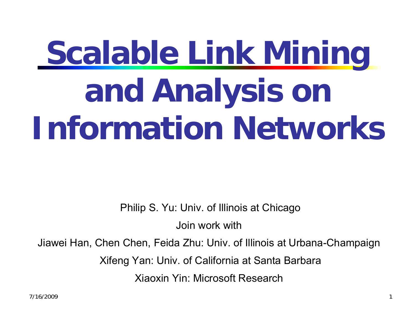# **Scalable Link Mining and Analysis on Information Networks**

Philip S. Yu: Univ. of Illinois at Chicago

Join work with

Jiawei Han, Chen Chen, Feida Zhu: Univ. of Illinois at Urbana-Champaign

Xifeng Yan: Univ. of California at Santa Barbara

Xiaoxin Yin: Microsoft Research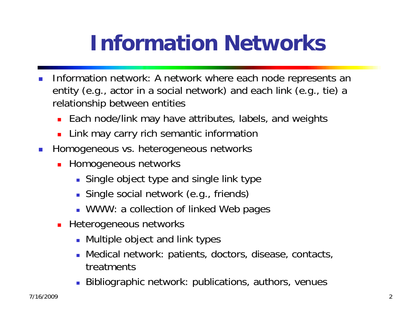# **Information Networks**

- F. Information network: A network where each node represents an entity (e.g., actor in a social network) and each link (e.g., tie) a relationship between entities
	- П Each node/link may have attributes, labels, and weights
	- Π Link may carry rich semantic information
- F. Homogeneous vs. heterogeneous networks
	- **-** Homogeneous networks
		- Single object type and single link type
		- Single social network (e.g., friends)
		- WWW: a collection of linked Web pages
	- **EXECOMANEES Heterogeneous networks** 
		- Multiple object and link types
		- Medical network: patients, doctors, disease, contacts, treatments
		- Bibliographic network: publications, authors, venues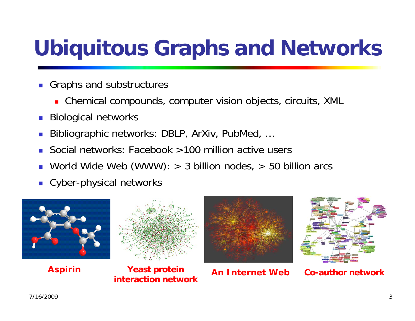# **Ubiquitous Graphs and Networks**

- Graphs and substructures
	- Chemical compounds, computer vision objects, circuits, XML
- F. Biological networks
- F. Bibliographic networks: DBLP, ArXiv, PubMed, …
- M. Social networks: Facebook >100 million active users
- World Wide Web (WWW): > 3 billion nodes, > 50 billion arcs
- Cyber-physical networks





**Aspirin Yeast protein interaction network**

**An Internet Web**

**Co-author network**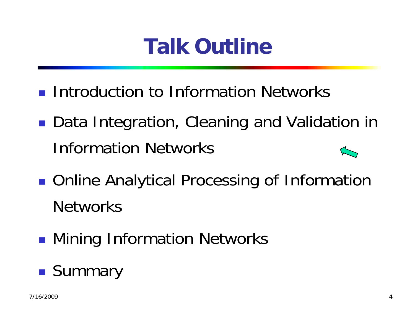# **Talk Outline**

- **Introduction to Information Networks**
- ■ Data Integration, Cleaning and Validation in Information Networks
- **STATE OF STATE OF STATE OF STATE OF STATE OF STATE OF STATE OF STATE OF STATE OF STATE OF STATE OF STATE OF S** ■ Online Analytical Processing of Information **Networks**
- **STATE OF STATE OF STATE OF STATE OF STATE OF STATE OF STATE OF STATE OF STATE OF STATE OF STATE OF STATE OF S • Mining Information Networks**

#### **STATE OF STATE OF STATE OF STATE OF STATE OF STATE OF STATE OF STATE OF STATE OF STATE OF STATE OF STATE OF S Summary**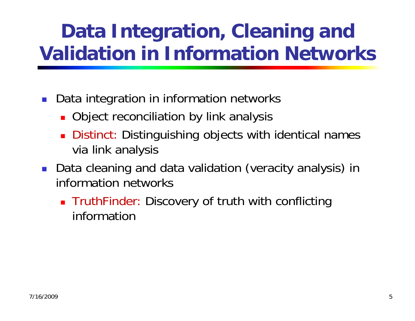#### **Data Integration, Cleaning and Validation in Information Networks**

- $\mathcal{L}_{\mathcal{A}}$  Data integration in information networks
	- **Diect reconciliation by link analysis**
	- **Distinct: Distinguishing objects with identical names** via link analysis
- $\mathbb{R}^n$  Data cleaning and data validation (veracity analysis) in information networks
	- **TruthFinder: Discovery of truth with conflicting** information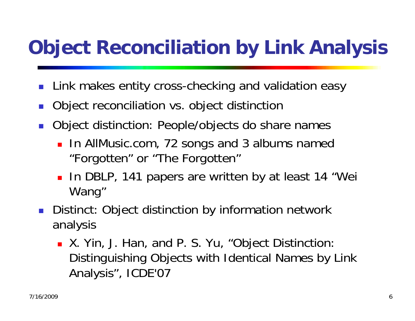# **Object Reconciliation by Link Analysis**

- F. Link makes entity cross-checking and validation easy
- F. Object reconciliation vs. object distinction
- F. Object distinction: People/objects do share names
	- **In AllMusic.com, 72 songs and 3 albums named** "Forgotten" or "The Forgotten"
	- **Io DBLP, 141 papers are written by at least 14 "Wei** Wang"
- F. Distinct: Object distinction by information network analysis
	- **X.** Yin, J. Han, and P. S. Yu, "Object Distinction: Distinguishing Objects with Identical Names by Link Analysis", ICDE'07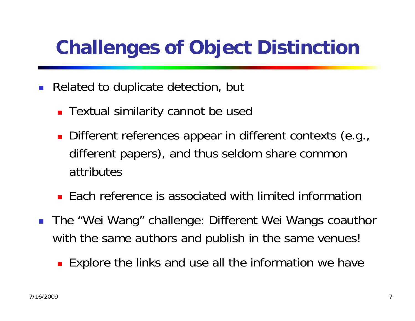# **Challenges of Object Distinction**

- $\mathbb{R}^3$  Related to duplicate detection, but
	- Textual similarity cannot be used
	- Different references appear in different contexts (e.g., different papers), and thus seldom share common attributes
	- **Each reference is associated with limited information**
- The "Wei Wang" challenge: Different Wei Wangs coauthor with the same authors and publish in the same venues!
	- **Explore the links and use all the information we have**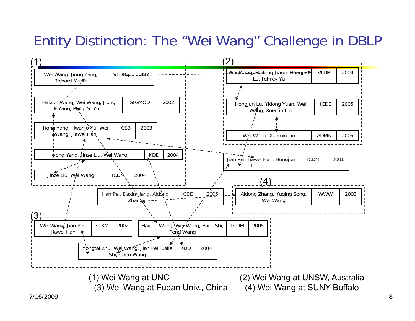#### Entity Distinction: The "Wei Wang" Challenge in DBLP

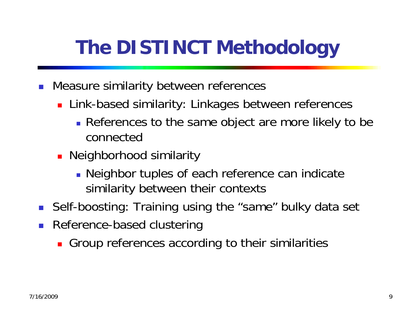# **The DISTINCT Methodology**

- F. Measure similarity between references
	- **Example 21 Eink-based similarity: Linkages between references** 
		- **References to the same object are more likely to be** connected
	- **Neighborhood similarity** 
		- **Neighbor tuples of each reference can indicate** similarity between their contexts
- $\mathbb{R}^3$ Self-boosting: Training using the "same" bulky data set
- F. Reference-based clustering
	- **Group references according to their similarities**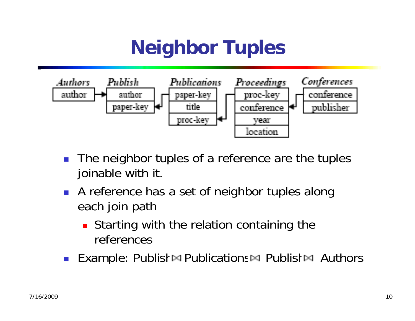### **Neighbor Tuples**



- F. The neighbor tuples of a reference are the tuples joinable with it.
- A reference has a set of neighbor tuples along each join path
	- П Starting with the relation containing the references
- **Example: Publish**  $\Join$  **Publications**  $\Join$  **Publish**  $\Join$  **Authors**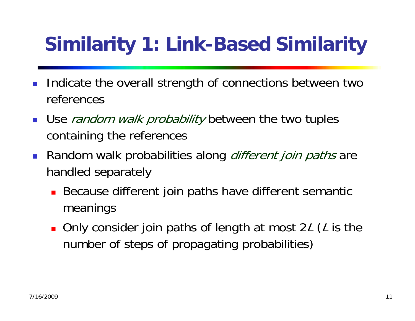# **Similarity 1: Link-Based Similarity**

- F. Indicate the overall strength of connections between two references
- Use *random walk probability* between the two tuples containing the references
- **Random walk probabilities along** *different join paths* **are** handled separately
	- **Because different join paths have different semantic** meanings
	- Only consider join paths of length at most 2L (L is the number of steps of propagating probabilities)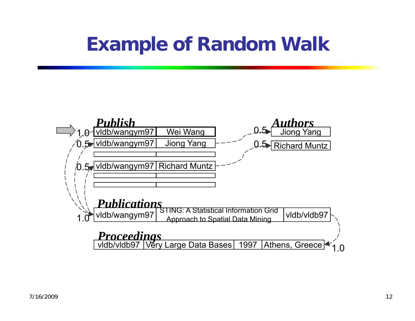#### **Example of Random Walk**

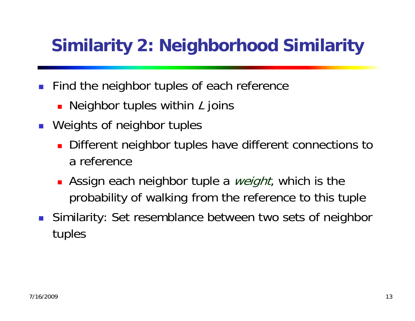#### **Similarity 2: Neighborhood Similarity**

- F. Find the neighbor tuples of each reference
	- **Neighbor tuples within L joins**
- **Neights of neighbor tuples** 
	- **Different neighbor tuples have different connections to** a reference
	- **•** Assign each neighbor tuple a *weight*, which is the probability of walking from the reference to this tuple
- F. Similarity: Set resemblance between two sets of neighbor tuples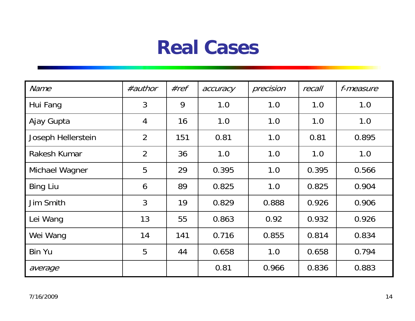#### **Real Cases**

| <b>Name</b>        | #author        | #ref | accuracy | precision | recall | f-measure |
|--------------------|----------------|------|----------|-----------|--------|-----------|
| Hui Fang           | $\mathfrak{Z}$ | 9    | 1.0      | 1.0       | 1.0    | 1.0       |
| Ajay Gupta         | $\overline{4}$ | 16   | 1.0      | 1.0       | 1.0    | 1.0       |
| Joseph Hellerstein | $\overline{2}$ | 151  | 0.81     | 1.0       | 0.81   | 0.895     |
| Rakesh Kumar       | $\overline{2}$ | 36   | 1.0      | 1.0       | 1.0    | 1.0       |
| Michael Wagner     | 5              | 29   | 0.395    | 1.0       | 0.395  | 0.566     |
| <b>Bing Liu</b>    | 6              | 89   | 0.825    | 1.0       | 0.825  | 0.904     |
| Jim Smith          | $\overline{3}$ | 19   | 0.829    | 0.888     | 0.926  | 0.906     |
| Lei Wang           | 13             | 55   | 0.863    | 0.92      | 0.932  | 0.926     |
| Wei Wang           | 14             | 141  | 0.716    | 0.855     | 0.814  | 0.834     |
| <b>Bin Yu</b>      | 5              | 44   | 0.658    | 1.0       | 0.658  | 0.794     |
| average            |                |      | 0.81     | 0.966     | 0.836  | 0.883     |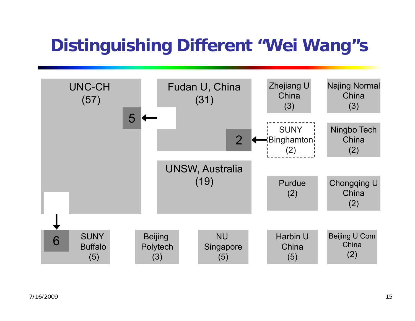#### **Distinguishing Different "Wei Wang"s**

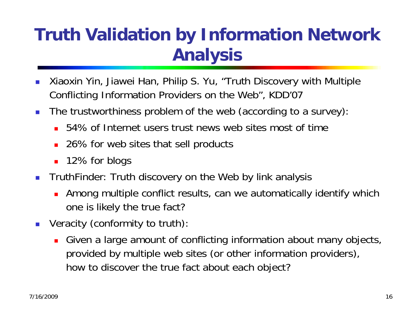#### **Truth Validation by Information Network Analysis**

- $\mathbb{R}^2$  Xiaoxin Yin, Jiawei Han, Philip S. Yu, "Truth Discovery with Multiple Conflicting Information Providers on the Web", KDD'07
- $\mathcal{L}_{\mathcal{A}}$  The trustworthiness problem of the web (according to a survey):
	- 54% of Internet users trust news web sites most of time
	- 26% for web sites that sell products
	- 12% for blogs
- $\mathbb{R}^3$  TruthFinder: Truth discovery on the Web by link analysis
	- Among multiple conflict results, can we automatically identify which one is likely the true fact?
- $\mathcal{L}^{\mathcal{L}}$  Veracity (conformity to truth):
	- Given a large amount of conflicting information about many objects, provided by multiple web sites (or other information providers), how to discover the true fact about each object?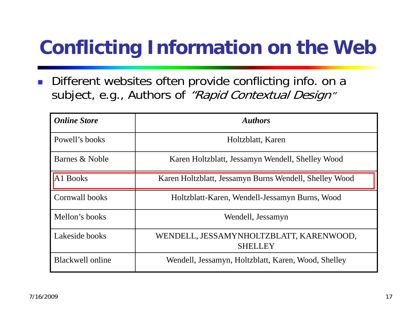# **Conflicting Information on the Web**

 $\left\vert \cdot \right\vert$  Different websites often provide conflicting info. on a subject, e.g., Authors of "Rapid Contextual Design"

| <b>Online Store</b>     | <b>Authors</b>                                            |
|-------------------------|-----------------------------------------------------------|
| Powell's books          | Holtzblatt, Karen                                         |
| Barnes & Noble          | Karen Holtzblatt, Jessamyn Wendell, Shelley Wood          |
| A <sub>1</sub> Books    | Karen Holtzblatt, Jessamyn Burns Wendell, Shelley Wood    |
| Cornwall books          | Holtzblatt-Karen, Wendell-Jessamyn Burns, Wood            |
| Mellon's books          | Wendell, Jessamyn                                         |
| Lakeside books          | WENDELL, JESSAMYNHOLTZBLATT, KARENWOOD,<br><b>SHELLEY</b> |
| <b>Blackwell online</b> | Wendell, Jessamyn, Holtzblatt, Karen, Wood, Shelley       |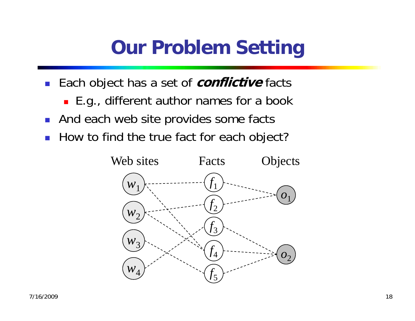#### **Our Problem Setting**

- Each object has a set of **conflictive** facts
	- E.g., different author names for a book
- **And each web site provides some facts**
- How to find the true fact for each object?

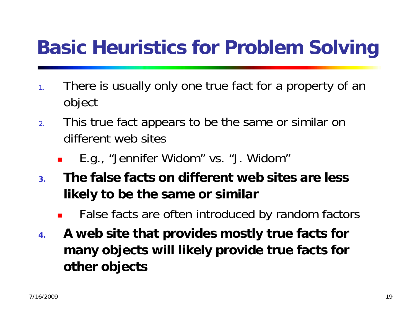### **Basic Heuristics for Problem Solving**

- 1. There is usually only one true fact for a property of an object
- 2. This true fact appears to be the same or similar on different web sites
	- П E.g., "Jennifer Widom" vs. "J. Widom"
- **3. The false facts on different web sites are less likely to be the same or similar**
	- П False facts are often introduced by random factors
- **4. A web site that provides mostly true facts for many objects will likely provide true facts for other objects**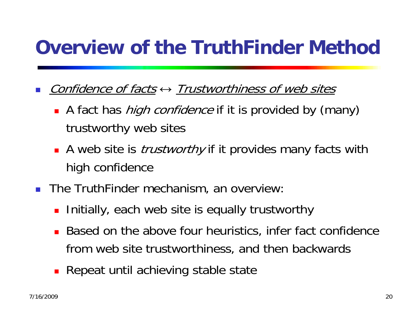### **Overview of the TruthFinder Method**

- F. ■ Confidence of facts  $\leftrightarrow$  Trustworthiness of web sites
	- A fact has *high confidence* if it is provided by (many) trustworthy web sites
	- **A** web site is *trustworthy* if it provides many facts with high confidence
- $\mathcal{L}_{\mathcal{A}}$  The TruthFinder mechanism, an overview:
	- **Initially, each web site is equally trustworthy**
	- **Based on the above four heuristics, infer fact confidence** from web site trustworthiness, and then backwards
	- Repeat until achieving stable state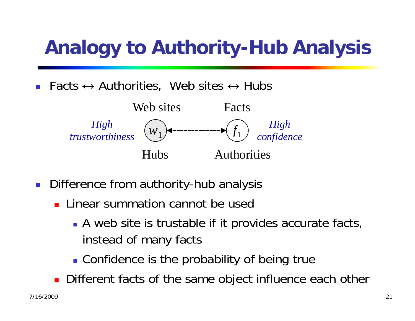# **Analogy to Authority-Hub Analysis**

F. **Facts**  $\leftrightarrow$  **Authorities, Web sites**  $\leftrightarrow$  **Hubs** 



- **Difference from authority-hub analysis** 
	- **Linear summation cannot be used** 
		- **A** web site is trustable if it provides accurate facts, instead of many facts
		- **.** Confidence is the probability of being true
	- **Different facts of the same object influence each other**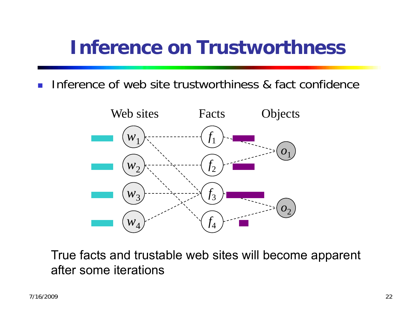#### **Inference on Trustworthness**

 $\mathcal{C}_{\mathcal{A}}$ Inference of web site trustworthiness & fact confidence



True facts and trustable web sites will become apparent after some iterations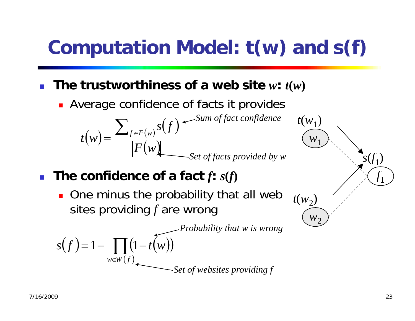# **Computation Model: t(w) and s(f)**

П The trustworthiness of a web site  $w: t(w)$ 

**Average confidence of facts it provides** 

 $t(w) = \frac{\sum_{f \in F(w)} s(f)}{|F(w)|}$  *Sum of fact confidence Set of facts provided by w* 

- F **The confidence of a fact** *f***:** *s***(***f***)**
	- **One minus the probability that all web** sites providing *f* are wrong

*Probability that w is wrong*

 $\nu$ 

 $t(w_1)$ 

 $W<sup>2</sup>$ 

 $t(w_2)$ 

$$
s(f) = 1 - \prod_{w \in W(f)} (1 - t(w))
$$
  
Set of websites providing f

 $f_1\$ 

 $\delta(t_1)$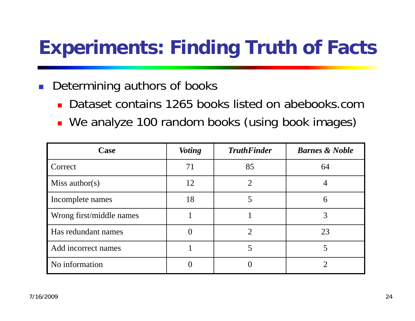### **Experiments: Finding Truth of Facts**

#### F. Determining authors of books

- × Dataset contains 1265 books listed on abebooks.com
- **Ne analyze 100 random books (using book images)**

| Case                     | <b>Voting</b> | <b>TruthFinder</b>          | <b>Barnes &amp; Noble</b> |
|--------------------------|---------------|-----------------------------|---------------------------|
| Correct                  | 71            | 85                          | 64                        |
| Miss author(s)           | 12            | $\overline{2}$              |                           |
| Incomplete names         | 18            | 5                           | 6                         |
| Wrong first/middle names |               |                             |                           |
| Has redundant names      |               | $\mathcal{D}_{\mathcal{A}}$ | 23                        |
| Add incorrect names      |               | 5                           | 5                         |
| No information           |               |                             |                           |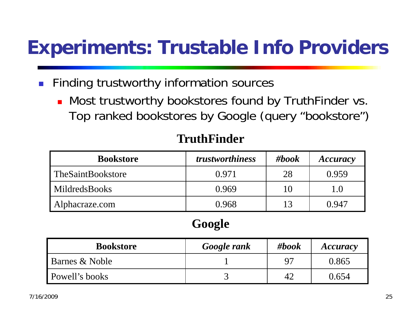#### **Experiments: Trustable Info Providers**

- F. Finding trustworthy information sources
	- Most trustworthy bookstores found by TruthFinder vs. Top ranked bookstores by Google (query "bookstore")

| <b>Bookstore</b>     | <i>trustworthiness</i> | #book | Accuracy           |
|----------------------|------------------------|-------|--------------------|
| TheSaintBookstore    | 0.971                  | 28    | 0.959              |
| <b>MildredsBooks</b> | 0.969                  | 10    | $\mathsf{I}$ . ( ) |
| Alphacraze.com       | 0.968                  | 13    | 0.947              |

#### **TruthFinder**

#### **Google**

| <b>Bookstore</b>      | Google rank | #book     | <b>Accuracy</b> |
|-----------------------|-------------|-----------|-----------------|
| Barnes & Noble        |             | $Q^{\pi}$ | 0.865           |
| <b>Powell's books</b> |             |           | 0.654           |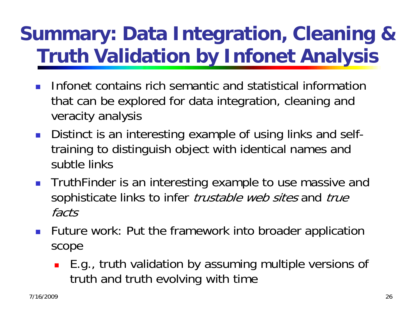### **Summary: Data Integration, Cleaning & Truth Validation by Infonet Analysis**

- F Infonet contains rich semantic and statistical information that can be explored for data integration, cleaning and veracity analysis
- **Distinct is an interesting example of using links and self**training to distinguish object with identical names and subtle links
- **TruthFinder is an interesting example to use massive and** sophisticate links to infer *trustable web sites* and *true* facts
- **Future work: Put the framework into broader application** scope
	- E.g., truth validation by assuming multiple versions of truth and truth evolving with time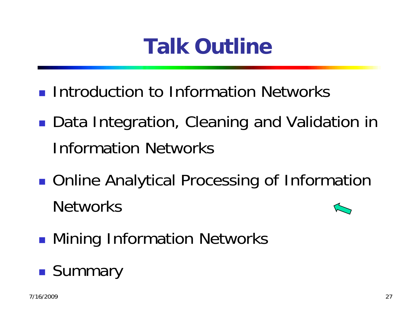# **Talk Outline**

- **Introduction to Information Networks**
- ■ Data Integration, Cleaning and Validation in Information Networks
- **STATE OF STATE OF STATE OF STATE OF STATE OF STATE OF STATE OF STATE OF STATE OF STATE OF STATE OF STATE OF S** ■ Online Analytical Processing of Information **Networks**
- **STATE OF STATE OF STATE OF STATE OF STATE OF STATE OF STATE OF STATE OF STATE OF STATE OF STATE OF STATE OF S • Mining Information Networks**

#### **STATE OF STATE OF STATE OF STATE OF STATE OF STATE OF STATE OF STATE OF STATE OF STATE OF STATE OF STATE OF S Summary**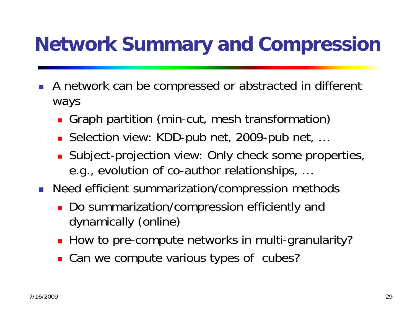### **Network Summary and Compression**

- F. A network can be compressed or abstracted in different ways
	- × Graph partition (min-cut, mesh transformation)
	- × Selection view: KDD-pub net, 2009-pub net, …
	- **Subject-projection view: Only check some properties,** e.g., evolution of co-author relationships, …
- $\mathbb{R}^3$  Need efficient summarization/compression methods
	- Do summarization/compression efficiently and dynamically (online)
	- How to pre-compute networks in multi-granularity?
	- **Can we compute various types of cubes?**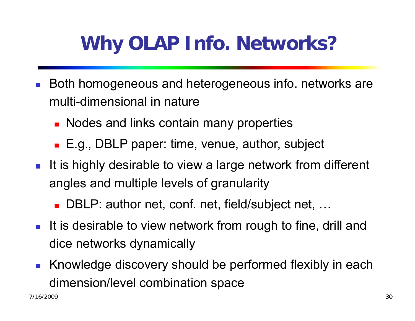# **Why OLAP Info. Networks?**

- $\mathbb{R}^2$  Both homogeneous and heterogeneous info. networks are multi-dimensional in nature
	- Nodes and links contain many properties
	- E.g., DBLP paper: time, venue, author, subject
- **It is highly desirable to view a large network from different** angles and multiple levels of granularity
	- DBLP: author net, conf. net, field/subject net, ...
- It is desirable to view network from rough to fine, drill and dice networks dynamically
- **K**nowledge discovery should be performed flexibly in each dimension/level combination space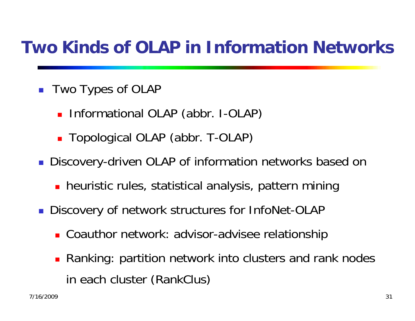#### **Two Kinds of OLAP in Information Networks**

- Two Types of OLAP
	- **Informational OLAP (abbr. I-OLAP)**
	- Topological OLAP (abbr. T-OLAP)
- Discovery-driven OLAP of information networks based on
	- **•** heuristic rules, statistical analysis, pattern mining
- **Discovery of network structures for InfoNet-OLAP** 
	- Coauthor network: advisor-advisee relationship
	- **Ranking: partition network into clusters and rank nodes** in each cluster (RankClus)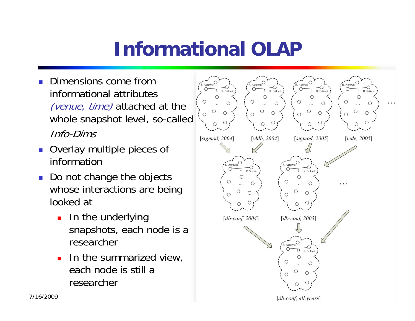### **Informational OLAP**

- F. Dimensions come from informational attributes (venue, time) attached at the whole snapshot level, so-called Info-Dims
- Overlay multiple pieces of information
- Do not change the objects whose interactions are being looked at
	- П In the underlying snapshots, each node is a researcher
	- **I** In the summarized view, each node is still a researcher

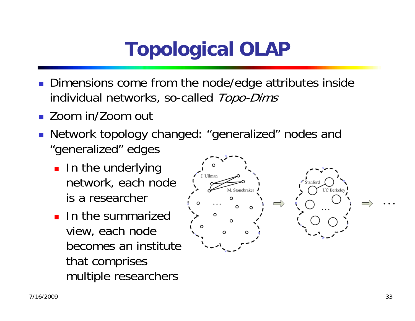# **Topological OLAP**

- **Dimensions come from the node/edge attributes inside** individual networks, so-called Topo-Dims
- Zoom in/Zoom out
- Network topology changed: "generalized" nodes and "generalized" edges
	- **In the underlying** network, each node is a researcher
	- ln the summarized view, each node becomes an institute that comprises multiple researchers

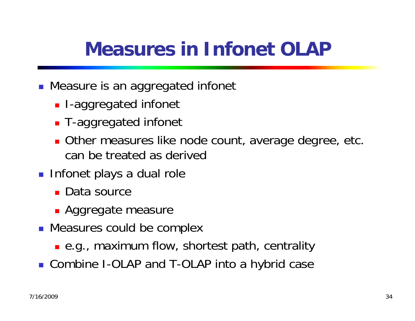#### **Measures in Infonet OLAP**

- **Measure is an aggregated infonet** 
	- **I**-aggregated infonet
	- T-aggregated infonet
	- **Diately 10 Other measures like node count, average degree, etc.** can be treated as derived
- **Infonet plays a dual role** 
	- Data source
	- **Aggregate measure**
- **Neasures could be complex** 
	- e.g., maximum flow, shortest path, centrality
- Combine I-OLAP and T-OLAP into a hybrid case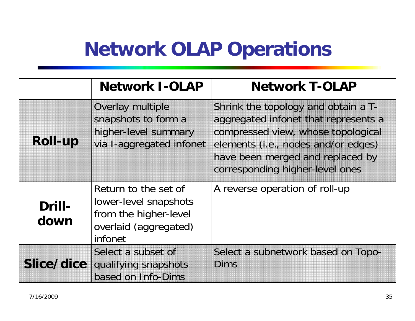#### **Network OLAP Operations**

|                   | <b>Network I-OLAP</b>                                                                                      | <b>Network T-OLAP</b>                                                                                                                                                                                                           |
|-------------------|------------------------------------------------------------------------------------------------------------|---------------------------------------------------------------------------------------------------------------------------------------------------------------------------------------------------------------------------------|
| Roll-up           | <b>Overlay multiple</b><br>snapshots to form a<br>higher-level summary<br>via I-aggregated infonet         | Shrink the topology and obtain a T-<br>aggregated infonet that represents a<br>compressed view, whose topological<br>elements (i.e., nodes and/or edges)<br>have been merged and replaced by<br>corresponding higher-level ones |
| Drill-<br>down    | Return to the set of<br>lower-level snapshots<br>from the higher-level<br>overlaid (aggregated)<br>infonet | A reverse operation of roll-up                                                                                                                                                                                                  |
| <b>Slice/dice</b> | Select a subset of<br>qualifying snapshots<br>based on Info-Dims                                           | Select a subnetwork based on Topo-<br>Dims                                                                                                                                                                                      |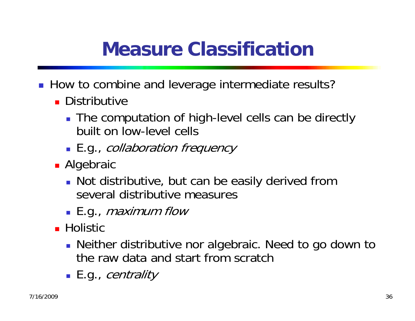### **Measure Classification**

- How to combine and leverage intermediate results?
	- **Distributive** 
		- **The computation of high-level cells can be directly** built on low-level cells
		- **E.g.,** *collaboration frequency*
	- **Algebraic** 
		- **Not distributive, but can be easily derived from** several distributive measures
		- $\blacksquare$  E.g., *maximum flow*
	- Holistic
		- **Neither distributive nor algebraic. Need to go down to** the raw data and start from scratch
		- **E**.g., *centrality*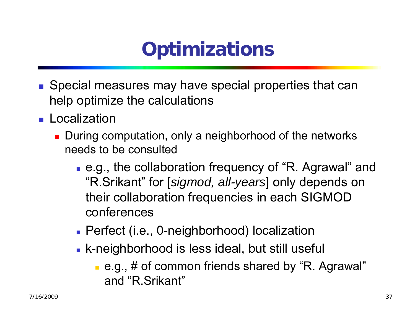# **Optimizations**

- Special measures may have special properties that can help optimize the calculations
- **Localization** 
	- **During computation, only a neighborhood of the networks** needs to be consulted
		- e.g., the collaboration frequency of "R. Agrawal" and "R.Srikant" for [*sigmod, all-years*] only depends on their collaboration frequencies in each SIGMOD conferences
		- Perfect (i.e., 0-neighborhood) localization
		- **Example 1** K-neighborhood is less ideal, but still useful
			- e.g., # of common friends shared by "R. Agrawal" and "R.Srikant"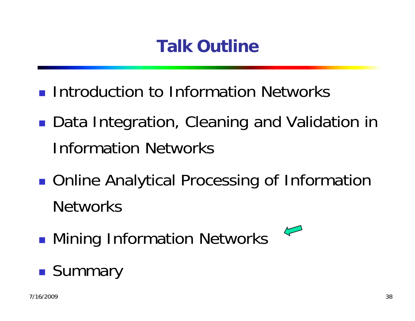#### **Talk Outline**

- **Introduction to Information Networks**
- ■ Data Integration, Cleaning and Validation in Information Networks
- **STATE OF STATE OF STATE OF STATE OF STATE OF STATE OF STATE OF STATE OF STATE OF STATE OF STATE OF STATE OF S** ■ Online Analytical Processing of Information **Networks**

 $\sqrt{\phantom{a}}$ 

**STATE OF STATE OF STATE OF STATE OF STATE OF STATE OF STATE OF STATE OF STATE OF STATE OF STATE OF STATE OF S • Mining Information Networks** 

#### **STATE OF STATE OF STATE OF STATE OF STATE OF STATE OF STATE OF STATE OF STATE OF STATE OF STATE OF STATE OF S Summary**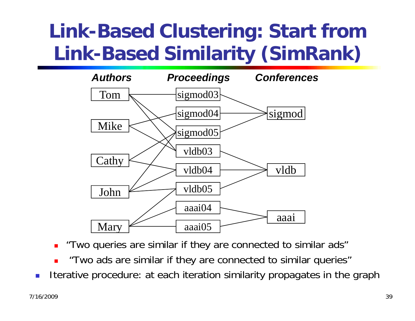### **Link-Based Clustering: Start from Link-Based Similarity (SimRank)**



"Two queries are similar if they are connected to similar ads"

- П "Two ads are similar if they are connected to similar queries"
- Iterative procedure: at each iteration similarity propagates in the graph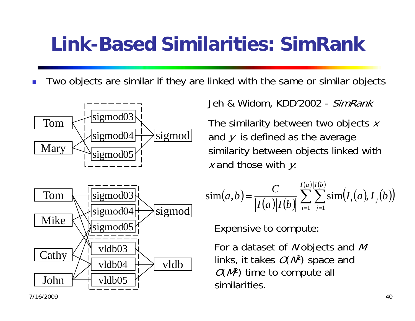#### **Link-Based Similarities: SimRank**

F. Two objects are similar if they are linked with the same or similar objects





Jeh & Widom, KDD'2002 - SimRank

The similarity between two objects  $x$ and  $y$  is defined as the average similarity between objects linked with  $x$  and those with  $y$ :

$$
sim(a,b) = \frac{C}{|I(a)||I(b)|} \sum_{i=1}^{|I(a)||I(b)|} \sum_{j=1}^{|I(a)||I(b)|} sim(I_i(a), I_j(b))
$$

Expensive to compute:

For a dataset of  $\mathcal N$  objects and  $\mathcal M$ links, it takes  $O(N^2)$  space and  $O(M^2)$  time to compute all similarities.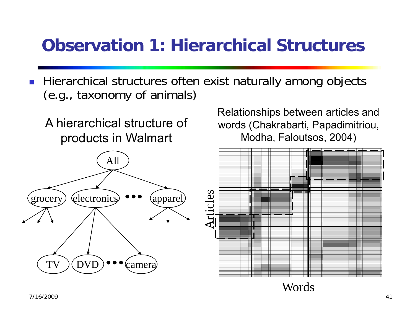#### **Observation 1: Hierarchical Structures**

- $\mathbb{R}^3$  Hierarchical structures often exist naturally among objects (e.g., taxonomy of animals)
	- A hierarchical structure of products in Walmart



Relationships between articles and words (Chakrabarti, Papadimitriou, Modha, Faloutsos, 2004)



 $\sim$  41 Words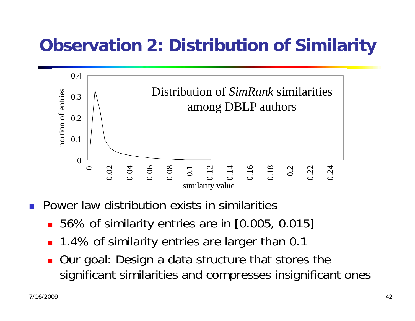#### **Observation 2: Distribution of Similarity**



- **Power law distribution exists in similarities** 
	- 56% of similarity entries are in [0.005, 0.015]
	- 1.4% of similarity entries are larger than 0.1
	- П Our goal: Design a data structure that stores the significant similarities and compresses insignificant ones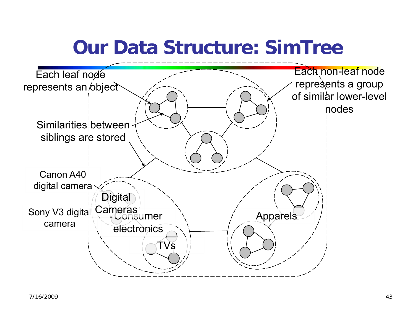#### **Our Data Structure: SimTree**

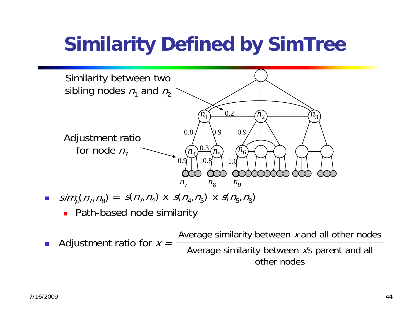### **Similarity Defined by SimTree**



- $\sin^2(\eta_7,\eta_8) = s(\eta_7,\eta_4)$  x  $s(\eta_4,\eta_5)$  x  $s(\eta_5,\eta_8)$ 
	- Path-based node similarity
- F. Adjustment ratio for  $x =$

Average similarity between  $x$  and all other nodes Average similarity between x's parent and all other nodes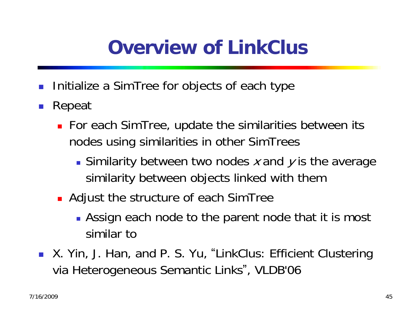#### **Overview of LinkClus**

- F. Initialize a SimTree for objects of each type
- F. Repeat
	- For each SimTree, update the similarities between its nodes using similarities in other SimTrees
		- Similarity between two nodes x and y is the average similarity between objects linked with them
	- Adjust the structure of each SimTree
		- **Assign each node to the parent node that it is most** similar to
- X. Yin, J. Han, and P. S. Yu, "LinkClus: Efficient Clustering via Heterogeneous Semantic Links", VLDB'06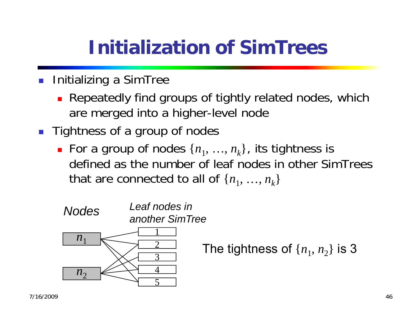### **Initialization of SimTrees**

- F. Initializing a SimTree
	- **Repeatedly find groups of tightly related nodes, which** are merged into a higher-level node
- **Tightness of a group of nodes** 
	- For a group of nodes  $\{n_1, ..., n_k\}$ , its tightness is defined as the number of leaf nodes in other SimTrees that are connected to all of  $\{n_1, ..., n_k\}$

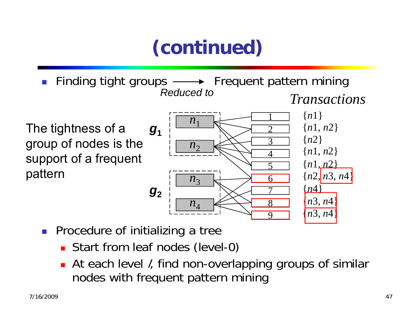# **(continued)**

 $\mathbb{R}^3$ Finding tight groups  $\longrightarrow$  Frequent pattern mining *Reduced toTransactions*

The tightness of a group of nodes is the support of a frequent pattern



- **Procedure of initializing a tree** 
	- **Start from leaf nodes (level-0)**
	- П At each level *l*, find non-overlapping groups of similar nodes with frequent pattern mining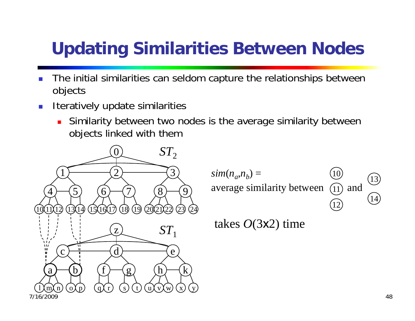#### **Updating Similarities Between Nodes**

- F. The initial similarities can seldom capture the relationships between objects
- F. Iteratively update similarities
	- Π Similarity between two nodes is the average similarity between objects linked with them



1011 1213 14 $sim(n_a,n_b) =$ average similarity between  $(1)$  and

takes *O*(3x2) time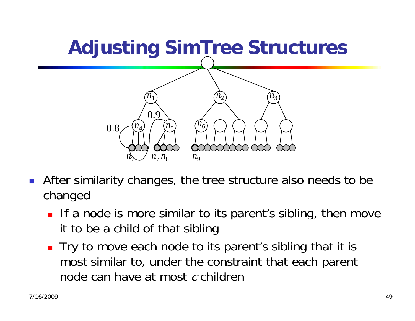

- F. After similarity changes, the tree structure also needs to be changed
	- **If a node is more similar to its parent's sibling, then move** it to be a child of that sibling
	- Try to move each node to its parent's sibling that it is most similar to, under the constraint that each parent node can have at most  $\it{c}$  children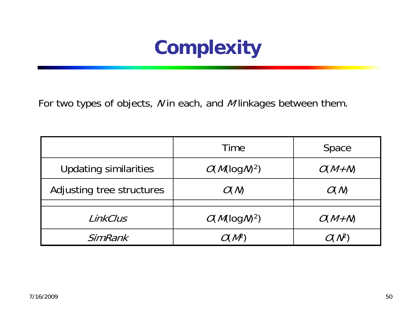#### **Complexity**

For two types of objects, N in each, and M linkages between them.

|                              | Time             | Space         |
|------------------------------|------------------|---------------|
| <b>Updating similarities</b> | $O(M(\log M)^2)$ | $O(M+N)$      |
| Adjusting tree structures    | O(N)             | O(N)          |
|                              |                  |               |
| LinkClus                     | $O(M(\log N)^2)$ | $O(M+N)$      |
| SimRank                      | O( NP`           | $(\Lambda^2)$ |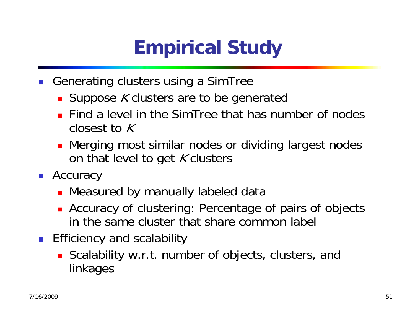# **Empirical Study**

- $\mathbb{R}^3$  Generating clusters using a SimTree
	- **Suppose K clusters are to be generated**
	- **Find a level in the SimTree that has number of nodes** closest to K
	- **•** Merging most similar nodes or dividing largest nodes on that level to get  $K$  clusters
- Accuracy
	- Measured by manually labeled data
	- **Accuracy of clustering: Percentage of pairs of objects** in the same cluster that share common label
- **Efficiency and scalability** 
	- **Scalability w.r.t. number of objects, clusters, and** linkages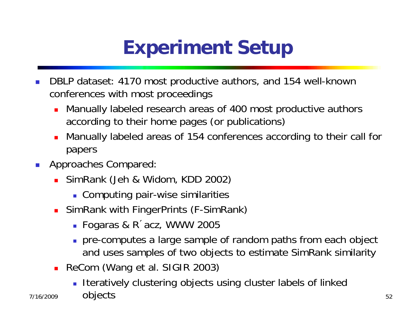### **Experiment Setup**

- F. DBLP dataset: 4170 most productive authors, and 154 well-known conferences with most proceedings
	- Manually labeled research areas of 400 most productive authors according to their home pages (or publications)
	- Manually labeled areas of 154 conferences according to their call for papers
- $\mathcal{C}_{\mathcal{A}}$ Approaches Compared:

7/16/2009

- SimRank (Jeh & Widom, KDD 2002)
	- Computing pair-wise similarities
- SimRank with FingerPrints (F-SimRank)
	- Fogaras & R´acz, WWW 2005
	- pre-computes a large sample of random paths from each object and uses samples of two objects to estimate SimRank similarity
- ReCom (Wang et al. SIGIR 2003)
- 52 objectsIteratively clustering objects using cluster labels of linked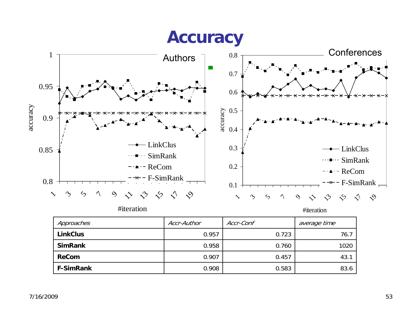#### **Accuracy**



#iteration

#iteration

| Approaches       | Accr-Author | Accr-Conf | average time |
|------------------|-------------|-----------|--------------|
| <b>LinkClus</b>  | 0.957       | 0.723     | 76.7         |
| <b>SimRank</b>   | 0.958       | 0.760     | 1020         |
| <b>ReCom</b>     | 0.907       | 0.457     | 43.7         |
| <b>F-SimRank</b> | 0.908       | 0.583     | 83.6         |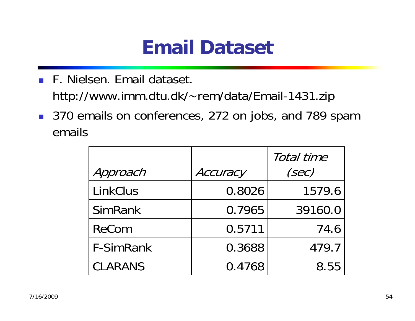#### **Email Dataset**

- F. Nielsen. Email dataset. http://www.imm.dtu.dk/~rem/data/Email-1431.zip
- 370 emails on conferences, 272 on jobs, and 789 spam emails

|                  |          | Total time |
|------------------|----------|------------|
| Approach         | Accuracy | (sec)      |
| <b>LinkClus</b>  | 0.8026   | 1579.6     |
| <b>SimRank</b>   | 0.7965   | 39160.0    |
| <b>ReCom</b>     | 0.5711   | 74.6       |
| <b>F-SimRank</b> | 0.3688   | 479.7      |
| <b>CLARANS</b>   | 0.4768   | 8.55       |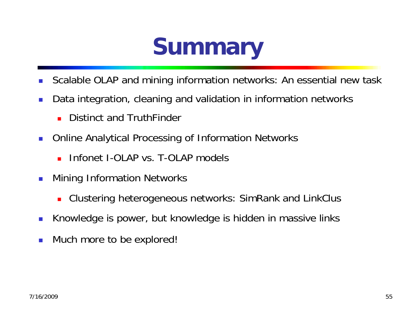

- П Scalable OLAP and mining information networks: An essential new task
- П Data integration, cleaning and validation in information networks
	- П Distinct and TruthFinder
- Online Analytical Processing of Information Networks
	- Infonet I-OLAP vs. T-OLAP models
- M. Mining Information Networks
	- П Clustering heterogeneous networks: SimRank and LinkClus
- Knowledge is power, but knowledge is hidden in massive links
- M. Much more to be explored!